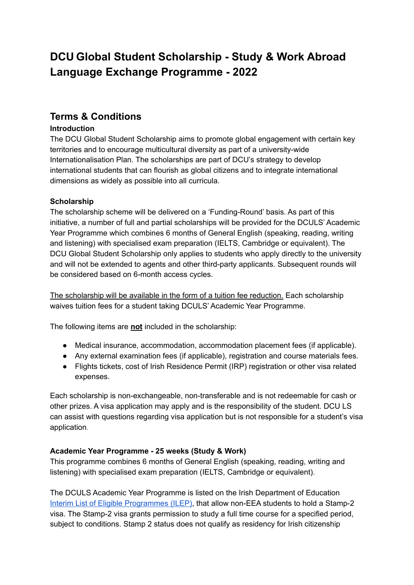# **DCU Global Student Scholarship - Study & Work Abroad Language Exchange Programme - 2022**

# **Terms & Conditions**

#### **Introduction**

The DCU Global Student Scholarship aims to promote global engagement with certain key territories and to encourage multicultural diversity as part of a university-wide Internationalisation Plan. The scholarships are part of DCU's strategy to develop international students that can flourish as global citizens and to integrate international dimensions as widely as possible into all curricula.

#### **Scholarship**

The scholarship scheme will be delivered on a 'Funding-Round' basis. As part of this initiative, a number of full and partial scholarships will be provided for the DCULS' Academic Year Programme which combines 6 months of General English (speaking, reading, writing and listening) with specialised exam preparation (IELTS, Cambridge or equivalent). The DCU Global Student Scholarship only applies to students who apply directly to the university and will not be extended to agents and other third-party applicants. Subsequent rounds will be considered based on 6-month access cycles.

The scholarship will be available in the form of a tuition fee reduction. Each scholarship waives tuition fees for a student taking DCULS' Academic Year Programme.

The following items are **not** included in the scholarship:

- Medical insurance, accommodation, accommodation placement fees (if applicable).
- Any external examination fees (if applicable), registration and course materials fees.
- Flights tickets, cost of Irish Residence Permit (IRP) registration or other visa related expenses.

Each scholarship is non-exchangeable, non-transferable and is not redeemable for cash or other prizes. A visa application may apply and is the responsibility of the student. DCU LS can assist with questions regarding visa application but is not responsible for a student's visa application.

#### **Academic Year Programme - 25 weeks (Study & Work)**

This programme combines 6 months of General English (speaking, reading, writing and listening) with specialised exam preparation (IELTS, Cambridge or equivalent).

The DCULS Academic Year Programme is listed on the Irish Department of Education Interim List of Eligible [Programmes](http://www.inis.gov.ie/en/INIS/Pages/Interim%20List%20of%20Eligible%20Programmes%20-%20ILEP) (ILEP), that allow non-EEA students to hold a Stamp-2 visa. The Stamp-2 visa grants permission to study a full time course for a specified period, subject to conditions. Stamp 2 status does not qualify as residency for Irish citizenship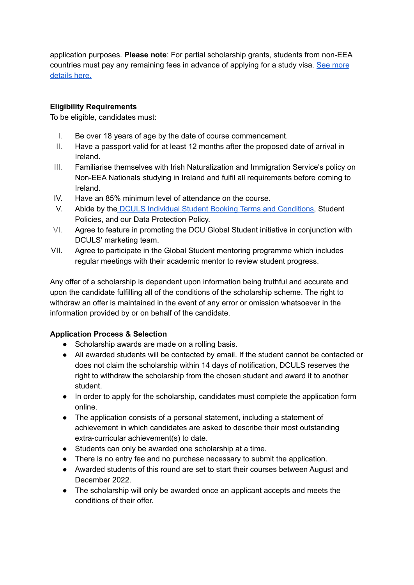application purposes. **Please note**: For partial scholarship grants, students from non-EEA countries must pay any remaining fees in advance of applying for a study visa. See [more](http://www.inis.gov.ie/en/INIS/Pages/I%20want%20to%20study%20a%20language%20course) [details](http://www.inis.gov.ie/en/INIS/Pages/I%20want%20to%20study%20a%20language%20course) here.

#### **Eligibility Requirements**

To be eligible, candidates must:

- I. Be over 18 years of age by the date of course commencement.
- II. Have a passport valid for at least 12 months after the proposed date of arrival in Ireland.
- III. Familiarise themselves with Irish Naturalization and Immigration Service's [policy](http://www.inis.gov.ie/en/INIS/Pages/Student%20Guidelines%20-%20New%20Immigration%20Regime%20for%20Full%20Time%20non-EEA%20Students) on Non-EEA [Nationals](http://www.inis.gov.ie/en/INIS/Pages/Student%20Guidelines%20-%20New%20Immigration%20Regime%20for%20Full%20Time%20non-EEA%20Students) studying in Ireland and fulfil all requirements before coming to Ireland.
- IV. Have an 85% minimum level of attendance on the course.
- V. Abide by the DCULS Individual Student Booking Terms and [Conditions](https://d1mdgb97qu443.cloudfront.net/wp-content/uploads/2017/12/2018-07-31-dcu-ls-terms-and-conditions_2018.pdf), Student Policies, and our Data Protection Policy.
- VI. Agree to feature in promoting the DCU Global Student initiative in conjunction with DCULS' marketing team.
- VII. Agree to participate in the Global Student mentoring programme which includes regular meetings with their academic mentor to review student progress.

Any offer of a scholarship is dependent upon information being truthful and accurate and upon the candidate fulfilling all of the conditions of the scholarship scheme. The right to withdraw an offer is maintained in the event of any error or omission whatsoever in the information provided by or on behalf of the candidate.

## **Application Process & Selection**

- Scholarship awards are made on a rolling basis.
- All awarded students will be contacted by email. If the student cannot be contacted or does not claim the scholarship within 14 days of notification, DCULS reserves the right to withdraw the scholarship from the chosen student and award it to another student.
- In order to apply for the scholarship, candidates must complete the application form online.
- The application consists of a personal statement, including a statement of achievement in which candidates are asked to describe their most outstanding extra-curricular achievement(s) to date.
- Students can only be awarded one scholarship at a time.
- There is no entry fee and no purchase necessary to submit the application.
- Awarded students of this round are set to start their courses between August and December 2022.
- The scholarship will only be awarded once an applicant accepts and meets the conditions of their offer.